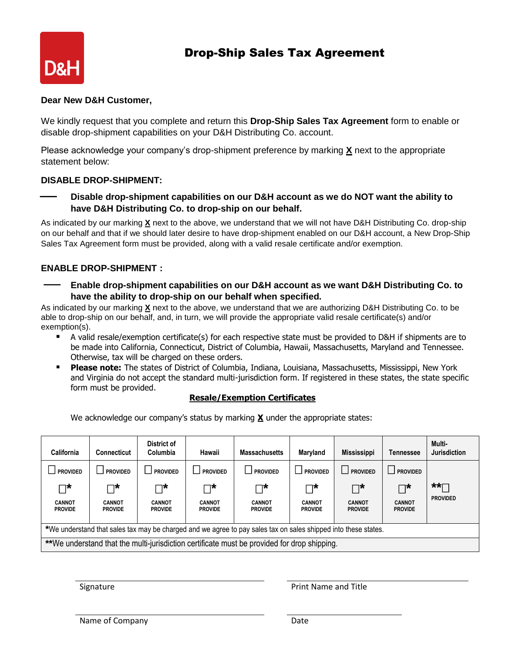# Drop-Ship Sales Tax Agreement



#### **Dear New D&H Customer,**

We kindly request that you complete and return this **Drop-Ship Sales Tax Agreement** form to enable or disable drop-shipment capabilities on your D&H Distributing Co. account.

Please acknowledge your company's drop-shipment preference by marking **X** next to the appropriate statement below:

## **DISABLE DROP-SHIPMENT:**

 **Disable drop-shipment capabilities on our D&H account as we do NOT want the ability to have D&H Distributing Co. to drop-ship on our behalf.**

As indicated by our marking **X** next to the above, we understand that we will not have D&H Distributing Co. drop-ship on our behalf and that if we should later desire to have drop-shipment enabled on our D&H account, a New Drop-Ship Sales Tax Agreement form must be provided, along with a valid resale certificate and/or exemption.

## **ENABLE DROP-SHIPMENT :**

 **Enable drop-shipment capabilities on our D&H account as we want D&H Distributing Co. to have the ability to drop-ship on our behalf when specified.**

As indicated by our marking **X** next to the above, we understand that we are authorizing D&H Distributing Co. to be able to drop-ship on our behalf, and, in turn, we will provide the appropriate valid resale certificate(s) and/or exemption(s).

- A valid resale/exemption certificate(s) for each respective state must be provided to D&H if shipments are to be made into California, Connecticut, District of Columbia, Hawaii, Massachusetts, Maryland and Tennessee. Otherwise, tax will be charged on these orders.
- **Please note:** The states of District of Columbia, Indiana, Louisiana, Massachusetts, Mississippi, New York and Virginia do not accept the standard multi-jurisdiction form. If registered in these states, the state specific form must be provided.

#### **Resale/Exemption Certificates**

We acknowledge our company's status by marking **X** under the appropriate states:

| California                                                                                                     | Connecticut                     | District of<br>Columbia         | Hawaii                          | <b>Massachusetts</b>              | Maryland                        | <b>Mississippi</b>              | Tennessee                       | Multi-<br><b>Jurisdiction</b> |
|----------------------------------------------------------------------------------------------------------------|---------------------------------|---------------------------------|---------------------------------|-----------------------------------|---------------------------------|---------------------------------|---------------------------------|-------------------------------|
| <b>PROVIDED</b>                                                                                                | <b>PROVIDED</b>                 | <b>PROVIDED</b>                 | <b>PROVIDED</b>                 | $\blacksquare$<br><b>PROVIDED</b> | <b>PROVIDED</b>                 | <b>PROVIDED</b>                 | <b>PROVIDED</b>                 |                               |
| ∽רי                                                                                                            | ⊣∗                              | ┐∗                              | ⊓*                              | ⊓*                                | ⊤∗                              | ™                               | $\Box^{\star}$                  | $\star\star\cdots$            |
| <b>CANNOT</b><br><b>PROVIDE</b>                                                                                | <b>CANNOT</b><br><b>PROVIDE</b> | <b>CANNOT</b><br><b>PROVIDE</b> | <b>CANNOT</b><br><b>PROVIDE</b> | <b>CANNOT</b><br><b>PROVIDE</b>   | <b>CANNOT</b><br><b>PROVIDE</b> | <b>CANNOT</b><br><b>PROVIDE</b> | <b>CANNOT</b><br><b>PROVIDE</b> | <b>PROVIDED</b>               |
| *We understand that sales tax may be charged and we agree to pay sales tax on sales shipped into these states. |                                 |                                 |                                 |                                   |                                 |                                 |                                 |                               |
| **We understand that the multi-jurisdiction certificate must be provided for drop shipping.                    |                                 |                                 |                                 |                                   |                                 |                                 |                                 |                               |

Signature **Print Name and Title**